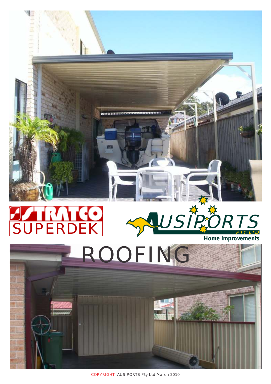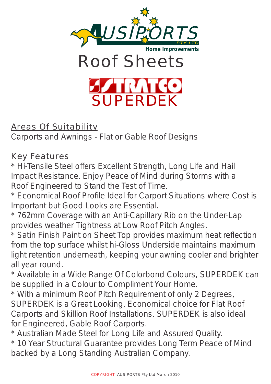

Areas Of Suitability

Carports and Awnings - Flat or Gable Roof Designs

**Key Features** 

\* Hi-Tensile Steel offers Excellent Strength, Long Life and Hail Impact Resistance. Enjoy Peace of Mind during Storms with a Roof Engineered to Stand the Test of Time.

\* Economical Roof Profile Ideal for Carport Situations where Cost is Important but Good Looks are Essential.

\* 762mm Coverage with an Anti-Capillary Rib on the Under-Lap provides weather Tightness at Low Roof Pitch Angles.

\* Satin Finish Paint on Sheet Top provides maximum heat reflection from the top surface whilst hi-Gloss Underside maintains maximum light retention underneath, keeping your awning cooler and brighter all year round.

\* Available in a Wide Range Of Colorbond Colours, SUPERDEK can be supplied in a Colour to Compliment Your Home.

\* With a minimum Roof Pitch Requirement of only 2 Degrees, SUPERDEK is a Great Looking, Economical choice for Flat Roof Carports and Skillion Roof Installations. SUPERDEK is also ideal for Engineered, Gable Roof Carports.

\* Australian Made Steel for Long Life and Assured Quality.

\* 10 Year Structural Guarantee provides Long Term Peace of Mind backed by a Long Standing Australian Company.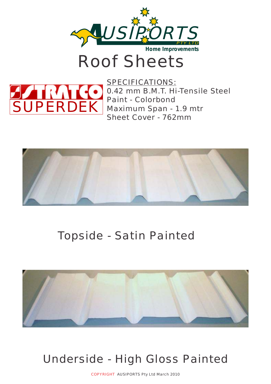

Roof Sheets



SPECIFICATIONS: 0.42 mm B.M.T. Hi-Tensile Steel Paint - Colorbond Maximum Span - 1.9 mtr Sheet Cover - 762mm



## Topside - Satin Painted



## Underside - High Gloss Painted

COPYRIGHT AUSIPORTS Pty Ltd March 2010